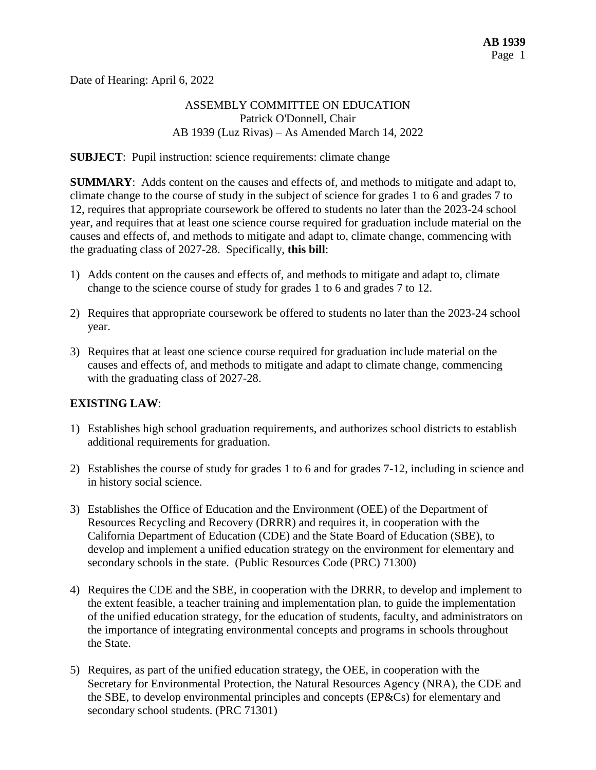Date of Hearing: April 6, 2022

### ASSEMBLY COMMITTEE ON EDUCATION Patrick O'Donnell, Chair AB 1939 (Luz Rivas) – As Amended March 14, 2022

**SUBJECT**: Pupil instruction: science requirements: climate change

**SUMMARY**: Adds content on the causes and effects of, and methods to mitigate and adapt to, climate change to the course of study in the subject of science for grades 1 to 6 and grades 7 to 12, requires that appropriate coursework be offered to students no later than the 2023-24 school year, and requires that at least one science course required for graduation include material on the causes and effects of, and methods to mitigate and adapt to, climate change, commencing with the graduating class of 2027-28. Specifically, **this bill**:

- 1) Adds content on the causes and effects of, and methods to mitigate and adapt to, climate change to the science course of study for grades 1 to 6 and grades 7 to 12.
- 2) Requires that appropriate coursework be offered to students no later than the 2023-24 school year.
- 3) Requires that at least one science course required for graduation include material on the causes and effects of, and methods to mitigate and adapt to climate change, commencing with the graduating class of 2027-28.

### **EXISTING LAW**:

- 1) Establishes high school graduation requirements, and authorizes school districts to establish additional requirements for graduation.
- 2) Establishes the course of study for grades 1 to 6 and for grades 7-12, including in science and in history social science.
- 3) Establishes the Office of Education and the Environment (OEE) of the Department of Resources Recycling and Recovery (DRRR) and requires it, in cooperation with the California Department of Education (CDE) and the State Board of Education (SBE), to develop and implement a unified education strategy on the environment for elementary and secondary schools in the state. (Public Resources Code (PRC) 71300)
- 4) Requires the CDE and the SBE, in cooperation with the DRRR, to develop and implement to the extent feasible, a teacher training and implementation plan, to guide the implementation of the unified education strategy, for the education of students, faculty, and administrators on the importance of integrating environmental concepts and programs in schools throughout the State.
- 5) Requires, as part of the unified education strategy, the OEE, in cooperation with the Secretary for Environmental Protection, the Natural Resources Agency (NRA), the CDE and the SBE, to develop environmental principles and concepts (EP&Cs) for elementary and secondary school students. (PRC 71301)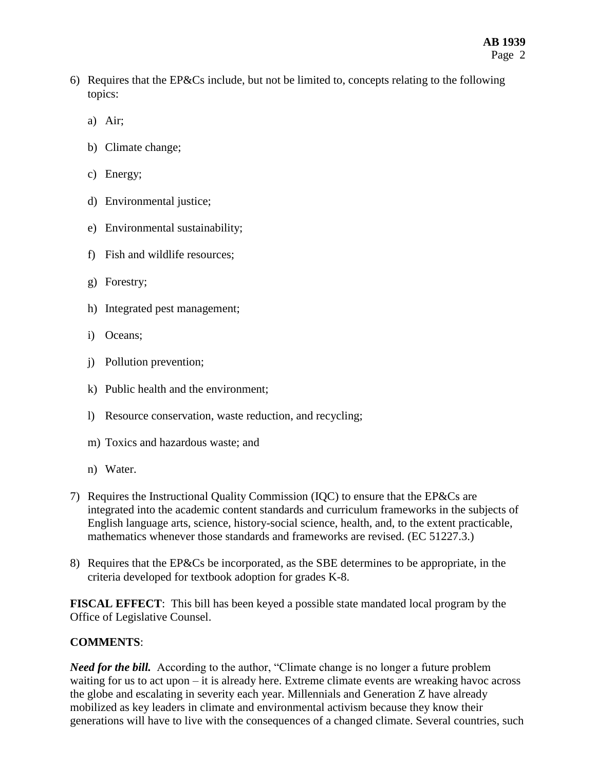- 6) Requires that the EP&Cs include, but not be limited to, concepts relating to the following topics:
	- a) Air;
	- b) Climate change;
	- c) Energy;
	- d) Environmental justice;
	- e) Environmental sustainability;
	- f) Fish and wildlife resources;
	- g) Forestry;
	- h) Integrated pest management;
	- i) Oceans;
	- j) Pollution prevention;
	- k) Public health and the environment;
	- l) Resource conservation, waste reduction, and recycling;
	- m) Toxics and hazardous waste; and
	- n) Water.
- 7) Requires the Instructional Quality Commission (IQC) to ensure that the EP&Cs are integrated into the academic content standards and curriculum frameworks in the subjects of English language arts, science, history-social science, health, and, to the extent practicable, mathematics whenever those standards and frameworks are revised. (EC 51227.3.)
- 8) Requires that the EP&Cs be incorporated, as the SBE determines to be appropriate, in the criteria developed for textbook adoption for grades K-8.

**FISCAL EFFECT**: This bill has been keyed a possible state mandated local program by the Office of Legislative Counsel.

### **COMMENTS**:

*Need for the bill.* According to the author, "Climate change is no longer a future problem waiting for us to act upon – it is already here. Extreme climate events are wreaking havoc across the globe and escalating in severity each year. Millennials and Generation Z have already mobilized as key leaders in climate and environmental activism because they know their generations will have to live with the consequences of a changed climate. Several countries, such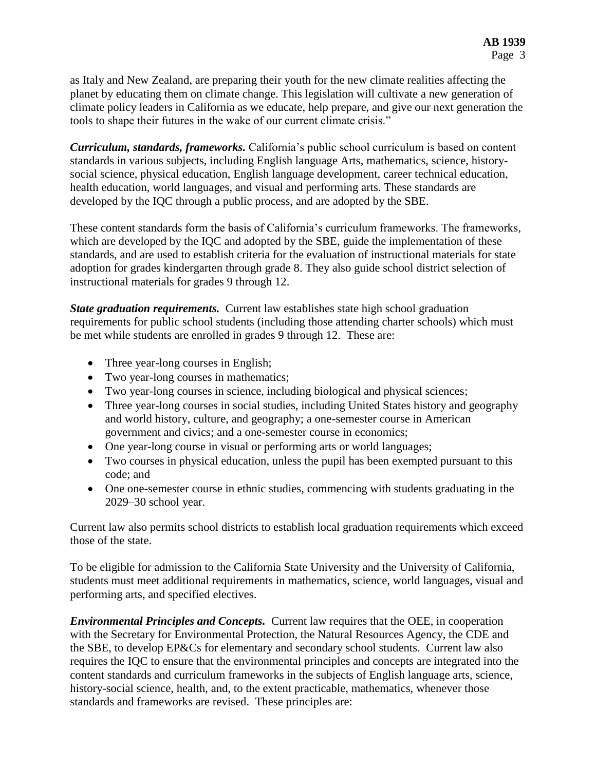as Italy and New Zealand, are preparing their youth for the new climate realities affecting the planet by educating them on climate change. This legislation will cultivate a new generation of climate policy leaders in California as we educate, help prepare, and give our next generation the tools to shape their futures in the wake of our current climate crisis."

*Curriculum, standards, frameworks.* California's public school curriculum is based on content standards in various subjects, including English language Arts, mathematics, science, historysocial science, physical education, English language development, career technical education, health education, world languages, and visual and performing arts. These standards are developed by the IQC through a public process, and are adopted by the SBE.

These content standards form the basis of California's curriculum frameworks. The frameworks, which are developed by the IQC and adopted by the SBE, guide the implementation of these standards, and are used to establish criteria for the evaluation of instructional materials for state adoption for grades kindergarten through grade 8. They also guide school district selection of instructional materials for grades 9 through 12.

*State graduation requirements.* Current law establishes state high school graduation requirements for public school students (including those attending charter schools) which must be met while students are enrolled in grades 9 through 12. These are:

- Three year-long courses in English;
- Two year-long courses in mathematics;
- Two year-long courses in science, including biological and physical sciences;
- Three year-long courses in social studies, including United States history and geography and world history, culture, and geography; a one-semester course in American government and civics; and a one-semester course in economics;
- One year-long course in visual or performing arts or world languages;
- Two courses in physical education, unless the pupil has been exempted pursuant to this code; and
- One one-semester course in ethnic studies, commencing with students graduating in the 2029–30 school year.

Current law also permits school districts to establish local graduation requirements which exceed those of the state.

To be eligible for admission to the California State University and the University of California, students must meet additional requirements in mathematics, science, world languages, visual and performing arts, and specified electives.

*Environmental Principles and Concepts.* Current law requires that the OEE, in cooperation with the Secretary for Environmental Protection, the Natural Resources Agency, the CDE and the SBE, to develop EP&Cs for elementary and secondary school students. Current law also requires the IQC to ensure that the environmental principles and concepts are integrated into the content standards and curriculum frameworks in the subjects of English language arts, science, history-social science, health, and, to the extent practicable, mathematics, whenever those standards and frameworks are revised. These principles are: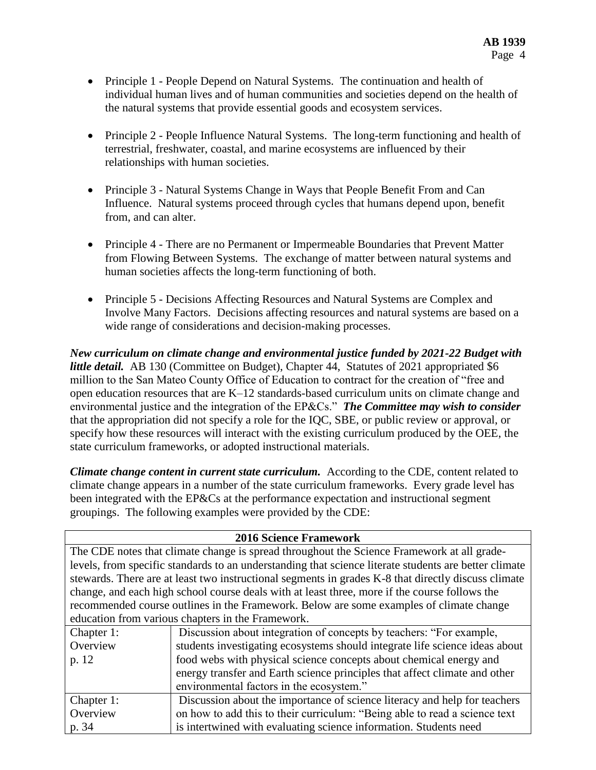- Principle 1 People Depend on Natural Systems. The continuation and health of individual human lives and of human communities and societies depend on the health of the natural systems that provide essential goods and ecosystem services.
- Principle 2 People Influence Natural Systems. The long-term functioning and health of terrestrial, freshwater, coastal, and marine ecosystems are influenced by their relationships with human societies.
- Principle 3 Natural Systems Change in Ways that People Benefit From and Can Influence. Natural systems proceed through cycles that humans depend upon, benefit from, and can alter.
- Principle 4 There are no Permanent or Impermeable Boundaries that Prevent Matter from Flowing Between Systems. The exchange of matter between natural systems and human societies affects the long-term functioning of both.
- Principle 5 Decisions Affecting Resources and Natural Systems are Complex and Involve Many Factors. Decisions affecting resources and natural systems are based on a wide range of considerations and decision-making processes.

*New curriculum on climate change and environmental justice funded by 2021-22 Budget with little detail.* AB 130 (Committee on Budget), Chapter 44, Statutes of 2021 appropriated \$6 million to the San Mateo County Office of Education to contract for the creation of "free and open education resources that are K–12 standards-based curriculum units on climate change and environmental justice and the integration of the EP&Cs." *The Committee may wish to consider* that the appropriation did not specify a role for the IQC, SBE, or public review or approval, or specify how these resources will interact with the existing curriculum produced by the OEE, the state curriculum frameworks, or adopted instructional materials.

*Climate change content in current state curriculum.* According to the CDE, content related to climate change appears in a number of the state curriculum frameworks. Every grade level has been integrated with the EP&Cs at the performance expectation and instructional segment groupings. The following examples were provided by the CDE:

| The CDE notes that climate change is spread throughout the Science Framework at all grade-    | <b>2016 Science Framework</b>                                                                         |  |  |  |  |
|-----------------------------------------------------------------------------------------------|-------------------------------------------------------------------------------------------------------|--|--|--|--|
|                                                                                               |                                                                                                       |  |  |  |  |
|                                                                                               | levels, from specific standards to an understanding that science literate students are better climate |  |  |  |  |
|                                                                                               | stewards. There are at least two instructional segments in grades K-8 that directly discuss climate   |  |  |  |  |
| change, and each high school course deals with at least three, more if the course follows the |                                                                                                       |  |  |  |  |
| recommended course outlines in the Framework. Below are some examples of climate change       |                                                                                                       |  |  |  |  |
| education from various chapters in the Framework.                                             |                                                                                                       |  |  |  |  |
| Discussion about integration of concepts by teachers: "For example,<br>Chapter 1:             |                                                                                                       |  |  |  |  |
| Overview<br>students investigating ecosystems should integrate life science ideas about       |                                                                                                       |  |  |  |  |
| food webs with physical science concepts about chemical energy and<br>p. 12                   |                                                                                                       |  |  |  |  |
| energy transfer and Earth science principles that affect climate and other                    |                                                                                                       |  |  |  |  |
| environmental factors in the ecosystem."                                                      |                                                                                                       |  |  |  |  |
| Discussion about the importance of science literacy and help for teachers<br>Chapter 1:       |                                                                                                       |  |  |  |  |
| Overview<br>on how to add this to their curriculum: "Being able to read a science text        |                                                                                                       |  |  |  |  |
| is intertwined with evaluating science information. Students need<br>p. 34                    |                                                                                                       |  |  |  |  |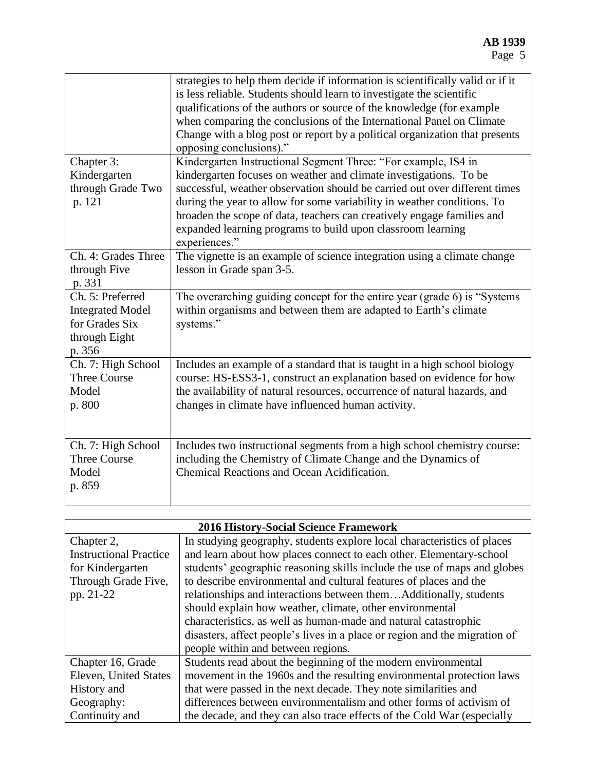|                                                                                | strategies to help them decide if information is scientifically valid or if it<br>is less reliable. Students should learn to investigate the scientific<br>qualifications of the authors or source of the knowledge (for example<br>when comparing the conclusions of the International Panel on Climate<br>Change with a blog post or report by a political organization that presents<br>opposing conclusions)." |  |  |  |
|--------------------------------------------------------------------------------|--------------------------------------------------------------------------------------------------------------------------------------------------------------------------------------------------------------------------------------------------------------------------------------------------------------------------------------------------------------------------------------------------------------------|--|--|--|
| Chapter 3:                                                                     | Kindergarten Instructional Segment Three: "For example, IS4 in                                                                                                                                                                                                                                                                                                                                                     |  |  |  |
| Kindergarten                                                                   | kindergarten focuses on weather and climate investigations. To be                                                                                                                                                                                                                                                                                                                                                  |  |  |  |
| through Grade Two                                                              | successful, weather observation should be carried out over different times                                                                                                                                                                                                                                                                                                                                         |  |  |  |
| p. 121                                                                         | during the year to allow for some variability in weather conditions. To<br>broaden the scope of data, teachers can creatively engage families and<br>expanded learning programs to build upon classroom learning<br>experiences."                                                                                                                                                                                  |  |  |  |
| Ch. 4: Grades Three                                                            | The vignette is an example of science integration using a climate change                                                                                                                                                                                                                                                                                                                                           |  |  |  |
| through Five                                                                   | lesson in Grade span 3-5.                                                                                                                                                                                                                                                                                                                                                                                          |  |  |  |
| p. 331                                                                         |                                                                                                                                                                                                                                                                                                                                                                                                                    |  |  |  |
| Ch. 5: Preferred<br><b>Integrated Model</b><br>for Grades Six<br>through Eight | The overarching guiding concept for the entire year (grade 6) is "Systems<br>within organisms and between them are adapted to Earth's climate<br>systems."                                                                                                                                                                                                                                                         |  |  |  |
| p. 356                                                                         |                                                                                                                                                                                                                                                                                                                                                                                                                    |  |  |  |
| Ch. 7: High School                                                             | Includes an example of a standard that is taught in a high school biology                                                                                                                                                                                                                                                                                                                                          |  |  |  |
| <b>Three Course</b>                                                            | course: HS-ESS3-1, construct an explanation based on evidence for how                                                                                                                                                                                                                                                                                                                                              |  |  |  |
| Model<br>p. 800                                                                | the availability of natural resources, occurrence of natural hazards, and<br>changes in climate have influenced human activity.                                                                                                                                                                                                                                                                                    |  |  |  |
| Ch. 7: High School                                                             | Includes two instructional segments from a high school chemistry course:                                                                                                                                                                                                                                                                                                                                           |  |  |  |
| <b>Three Course</b>                                                            | including the Chemistry of Climate Change and the Dynamics of                                                                                                                                                                                                                                                                                                                                                      |  |  |  |
| Model<br>p. 859                                                                | Chemical Reactions and Ocean Acidification.                                                                                                                                                                                                                                                                                                                                                                        |  |  |  |

| <b>2016 History-Social Science Framework</b> |                                                                            |  |  |  |
|----------------------------------------------|----------------------------------------------------------------------------|--|--|--|
| Chapter 2,                                   | In studying geography, students explore local characteristics of places    |  |  |  |
| <b>Instructional Practice</b>                | and learn about how places connect to each other. Elementary-school        |  |  |  |
| for Kindergarten                             | students' geographic reasoning skills include the use of maps and globes   |  |  |  |
| Through Grade Five,                          | to describe environmental and cultural features of places and the          |  |  |  |
| pp. 21-22                                    | relationships and interactions between themAdditionally, students          |  |  |  |
|                                              | should explain how weather, climate, other environmental                   |  |  |  |
|                                              | characteristics, as well as human-made and natural catastrophic            |  |  |  |
|                                              | disasters, affect people's lives in a place or region and the migration of |  |  |  |
|                                              | people within and between regions.                                         |  |  |  |
| Chapter 16, Grade                            | Students read about the beginning of the modern environmental              |  |  |  |
| <b>Eleven, United States</b>                 | movement in the 1960s and the resulting environmental protection laws      |  |  |  |
| History and                                  | that were passed in the next decade. They note similarities and            |  |  |  |
| Geography:                                   | differences between environmentalism and other forms of activism of        |  |  |  |
| Continuity and                               | the decade, and they can also trace effects of the Cold War (especially    |  |  |  |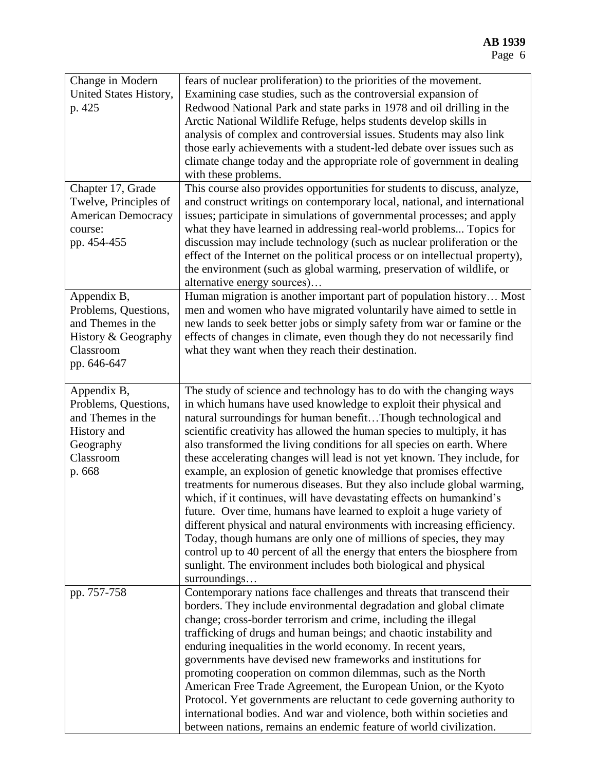| Change in Modern<br>United States History,<br>p. 425                                                        | fears of nuclear proliferation) to the priorities of the movement.<br>Examining case studies, such as the controversial expansion of<br>Redwood National Park and state parks in 1978 and oil drilling in the<br>Arctic National Wildlife Refuge, helps students develop skills in<br>analysis of complex and controversial issues. Students may also link<br>those early achievements with a student-led debate over issues such as<br>climate change today and the appropriate role of government in dealing<br>with these problems.                                                                                                                                                                                                                                                                                                                                                                                                                                                                                                                        |
|-------------------------------------------------------------------------------------------------------------|---------------------------------------------------------------------------------------------------------------------------------------------------------------------------------------------------------------------------------------------------------------------------------------------------------------------------------------------------------------------------------------------------------------------------------------------------------------------------------------------------------------------------------------------------------------------------------------------------------------------------------------------------------------------------------------------------------------------------------------------------------------------------------------------------------------------------------------------------------------------------------------------------------------------------------------------------------------------------------------------------------------------------------------------------------------|
| Chapter 17, Grade<br>Twelve, Principles of<br><b>American Democracy</b><br>course:<br>pp. 454-455           | This course also provides opportunities for students to discuss, analyze,<br>and construct writings on contemporary local, national, and international<br>issues; participate in simulations of governmental processes; and apply<br>what they have learned in addressing real-world problems Topics for<br>discussion may include technology (such as nuclear proliferation or the<br>effect of the Internet on the political process or on intellectual property),<br>the environment (such as global warming, preservation of wildlife, or<br>alternative energy sources)                                                                                                                                                                                                                                                                                                                                                                                                                                                                                  |
| Appendix B,<br>Problems, Questions,<br>and Themes in the<br>History & Geography<br>Classroom<br>pp. 646-647 | Human migration is another important part of population history Most<br>men and women who have migrated voluntarily have aimed to settle in<br>new lands to seek better jobs or simply safety from war or famine or the<br>effects of changes in climate, even though they do not necessarily find<br>what they want when they reach their destination.                                                                                                                                                                                                                                                                                                                                                                                                                                                                                                                                                                                                                                                                                                       |
| Appendix B,<br>Problems, Questions,<br>and Themes in the<br>History and<br>Geography<br>Classroom<br>p. 668 | The study of science and technology has to do with the changing ways<br>in which humans have used knowledge to exploit their physical and<br>natural surroundings for human benefitThough technological and<br>scientific creativity has allowed the human species to multiply, it has<br>also transformed the living conditions for all species on earth. Where<br>these accelerating changes will lead is not yet known. They include, for<br>example, an explosion of genetic knowledge that promises effective<br>treatments for numerous diseases. But they also include global warming,<br>which, if it continues, will have devastating effects on humankind's<br>future. Over time, humans have learned to exploit a huge variety of<br>different physical and natural environments with increasing efficiency.<br>Today, though humans are only one of millions of species, they may<br>control up to 40 percent of all the energy that enters the biosphere from<br>sunlight. The environment includes both biological and physical<br>surroundings |
| pp. 757-758                                                                                                 | Contemporary nations face challenges and threats that transcend their<br>borders. They include environmental degradation and global climate<br>change; cross-border terrorism and crime, including the illegal<br>trafficking of drugs and human beings; and chaotic instability and<br>enduring inequalities in the world economy. In recent years,<br>governments have devised new frameworks and institutions for<br>promoting cooperation on common dilemmas, such as the North<br>American Free Trade Agreement, the European Union, or the Kyoto<br>Protocol. Yet governments are reluctant to cede governing authority to<br>international bodies. And war and violence, both within societies and<br>between nations, remains an endemic feature of world civilization.                                                                                                                                                                                                                                                                               |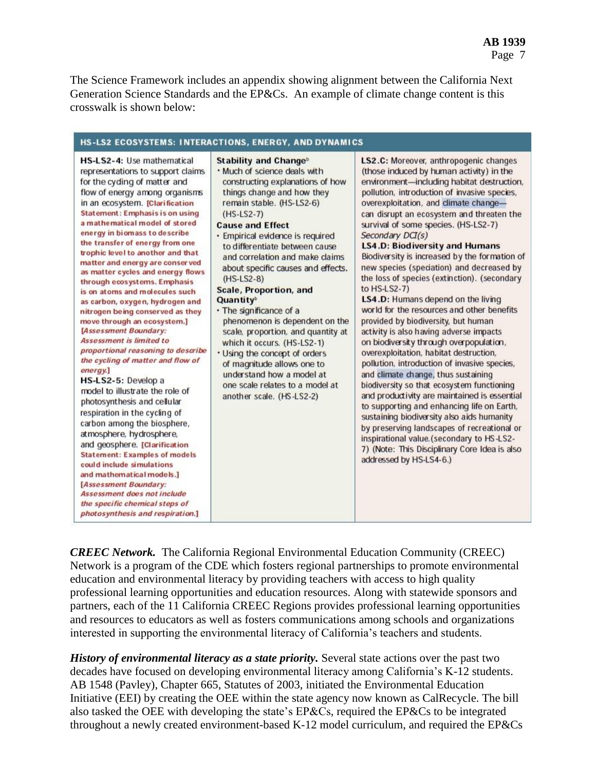The Science Framework includes an appendix showing alignment between the California Next Generation Science Standards and the EP&Cs. An example of climate change content is this crosswalk is shown below:

| HS-LS2 ECOSYSTEMS: INTERACTIONS, ENERGY, AND DYNAMICS                                                                                                                                                                                                                                                                                                                                                                                                                                                                                                                                                                                                                                                                                                                                                                                                                                                                                                                                                                                                                                                                                                                                                       |                                                                                                                                                                                                                                                                                                                                                                                                                                                                                                                                                                                                                                                                                                                                    |                                                                                                                                                                                                                                                                                                                                                                                                                                                                                                                                                                                                                                                                                                                                                                                                                                                                                                                                                                                                                                                                                                                                                                                                                                                                |  |  |  |
|-------------------------------------------------------------------------------------------------------------------------------------------------------------------------------------------------------------------------------------------------------------------------------------------------------------------------------------------------------------------------------------------------------------------------------------------------------------------------------------------------------------------------------------------------------------------------------------------------------------------------------------------------------------------------------------------------------------------------------------------------------------------------------------------------------------------------------------------------------------------------------------------------------------------------------------------------------------------------------------------------------------------------------------------------------------------------------------------------------------------------------------------------------------------------------------------------------------|------------------------------------------------------------------------------------------------------------------------------------------------------------------------------------------------------------------------------------------------------------------------------------------------------------------------------------------------------------------------------------------------------------------------------------------------------------------------------------------------------------------------------------------------------------------------------------------------------------------------------------------------------------------------------------------------------------------------------------|----------------------------------------------------------------------------------------------------------------------------------------------------------------------------------------------------------------------------------------------------------------------------------------------------------------------------------------------------------------------------------------------------------------------------------------------------------------------------------------------------------------------------------------------------------------------------------------------------------------------------------------------------------------------------------------------------------------------------------------------------------------------------------------------------------------------------------------------------------------------------------------------------------------------------------------------------------------------------------------------------------------------------------------------------------------------------------------------------------------------------------------------------------------------------------------------------------------------------------------------------------------|--|--|--|
| HS-LS2-4: Use mathematical<br>representations to support claims<br>for the cyding of matter and<br>flow of energy among organisms<br>in an ecosystem. [Clarification<br><b>Statement: Emphasis is on using</b><br>a mathematical model of stored<br>energy in biomass to describe<br>the transfer of energy from one<br>trophic level to another and that<br>matter and energy are conserved<br>as matter cycles and energy flows<br>through ecosystems. Emphasis<br>is on atoms and molecules such<br>as carbon, oxygen, hydrogen and<br>nitrogen being conserved as they<br>move through an ecosystem.]<br>[Assessment Boundary:<br>Assessment is limited to<br>proportional reasoning to describe<br>the cycling of matter and flow of<br>energy.]<br>HS-LS2-5: Develop a<br>model to illustrate the role of<br>photosynthesis and cellular<br>respiration in the cycling of<br>carbon among the biosphere,<br>atmosphere, hydrosphere,<br>and geosphere. [Clarification<br><b>Statement: Examples of models</b><br>could include simulations<br>and mathematical models.]<br>[Assessment Boundary:<br>Assessment does not include<br>the specific chemical steps of<br>photosynthesis and respiration.] | Stability and Change <sup>b</sup><br>. Much of science deals with<br>constructing explanations of how<br>things change and how they<br>remain stable. (HS-LS2-6)<br>$(HS-LS2-7)$<br><b>Cause and Effect</b><br>· Empirical evidence is required<br>to differentiate between cause<br>and correlation and make claims<br>about specific causes and effects.<br>$(HS-LS2-8)$<br><b>Scale, Proportion, and</b><br>Quantity <sup>b</sup><br>• The significance of a<br>phenomenon is dependent on the<br>scale, proportion, and quantity at<br>which it occurs. (HS-LS2-1)<br>. Using the concept of orders<br>of magnitude allows one to<br>understand how a model at<br>one scale relates to a model at<br>another scale. (HS-LS2-2) | LS2.C: Moreover, anthropogenic changes<br>(those induced by human activity) in the<br>environment-including habitat destruction,<br>pollution, introduction of invasive species,<br>overexploitation, and climate change-<br>can disrupt an ecosystem and threaten the<br>survival of some species. (HS-LS2-7)<br>Secondary DCI(s)<br><b>LS4.D: Biodiversity and Humans</b><br>Biodiversity is increased by the formation of<br>new species (speciation) and decreased by<br>the loss of species (extinction). (secondary<br>to HS-LS2-7)<br>LS4.D: Humans depend on the living<br>world for the resources and other benefits<br>provided by biodiversity, but human<br>activity is also having adverse impacts<br>on biodiversity through overpopulation,<br>overexploitation, habitat destruction,<br>pollution, introduction of invasive species,<br>and climate change, thus sustaining<br>biodiversity so that ecosystem functioning<br>and productivity are maintained is essential<br>to supporting and enhancing life on Earth,<br>sustaining biodiversity also aids humanity<br>by preserving landscapes of recreational or<br>inspirational value. (secondary to HS-LS2-<br>7) (Note: This Disciplinary Core Idea is also<br>addressed by HS-LS4-6.) |  |  |  |

*CREEC Network.* The California Regional Environmental Education Community (CREEC) Network is a program of the CDE which fosters regional partnerships to promote environmental education and environmental literacy by providing teachers with access to high quality professional learning opportunities and education resources. Along with statewide sponsors and partners, each of the 11 California CREEC Regions provides professional learning opportunities and resources to educators as well as fosters communications among schools and organizations interested in supporting the environmental literacy of California's teachers and students.

*History of environmental literacy as a state priority.* Several state actions over the past two decades have focused on developing environmental literacy among California's K-12 students. AB 1548 (Pavley), Chapter 665, Statutes of 2003, initiated the Environmental Education Initiative (EEI) by creating the OEE within the state agency now known as CalRecycle. The bill also tasked the OEE with developing the state's EP&Cs, required the EP&Cs to be integrated throughout a newly created environment-based K-12 model curriculum, and required the EP&Cs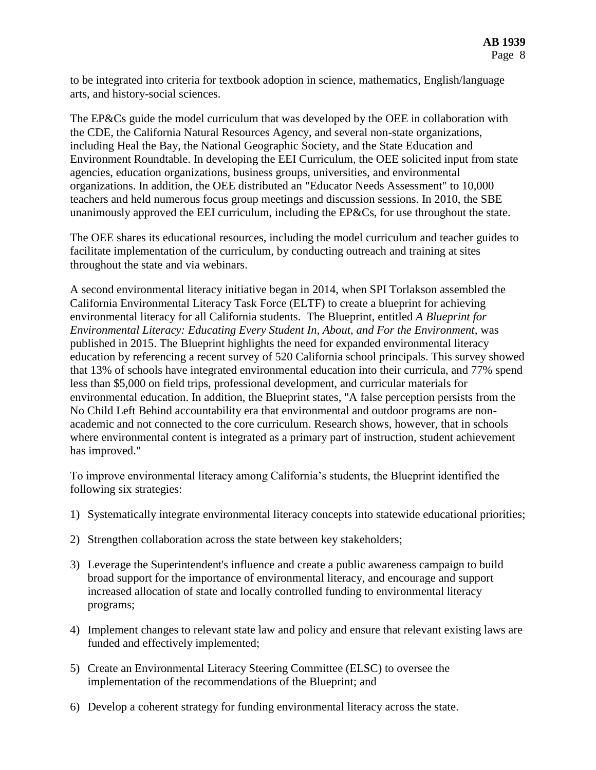to be integrated into criteria for textbook adoption in science, mathematics, English/language arts, and history-social sciences.

The EP&Cs guide the model curriculum that was developed by the OEE in collaboration with the CDE, the California Natural Resources Agency, and several non-state organizations, including Heal the Bay, the National Geographic Society, and the State Education and Environment Roundtable. In developing the EEI Curriculum, the OEE solicited input from state agencies, education organizations, business groups, universities, and environmental organizations. In addition, the OEE distributed an "Educator Needs Assessment" to 10,000 teachers and held numerous focus group meetings and discussion sessions. In 2010, the SBE unanimously approved the EEI curriculum, including the EP&Cs, for use throughout the state.

The OEE shares its educational resources, including the model curriculum and teacher guides to facilitate implementation of the curriculum, by conducting outreach and training at sites throughout the state and via webinars.

A second environmental literacy initiative began in 2014, when SPI Torlakson assembled the California Environmental Literacy Task Force (ELTF) to create a blueprint for achieving environmental literacy for all California students. The Blueprint, entitled *A Blueprint for Environmental Literacy: Educating Every Student In, About, and For the Environment,* was published in 2015. The Blueprint highlights the need for expanded environmental literacy education by referencing a recent survey of 520 California school principals. This survey showed that 13% of schools have integrated environmental education into their curricula, and 77% spend less than \$5,000 on field trips, professional development, and curricular materials for environmental education. In addition, the Blueprint states, "A false perception persists from the No Child Left Behind accountability era that environmental and outdoor programs are nonacademic and not connected to the core curriculum. Research shows, however, that in schools where environmental content is integrated as a primary part of instruction, student achievement has improved."

To improve environmental literacy among California's students, the Blueprint identified the following six strategies:

- 1) Systematically integrate environmental literacy concepts into statewide educational priorities;
- 2) Strengthen collaboration across the state between key stakeholders;
- 3) Leverage the Superintendent's influence and create a public awareness campaign to build broad support for the importance of environmental literacy, and encourage and support increased allocation of state and locally controlled funding to environmental literacy programs;
- 4) Implement changes to relevant state law and policy and ensure that relevant existing laws are funded and effectively implemented;
- 5) Create an Environmental Literacy Steering Committee (ELSC) to oversee the implementation of the recommendations of the Blueprint; and
- 6) Develop a coherent strategy for funding environmental literacy across the state.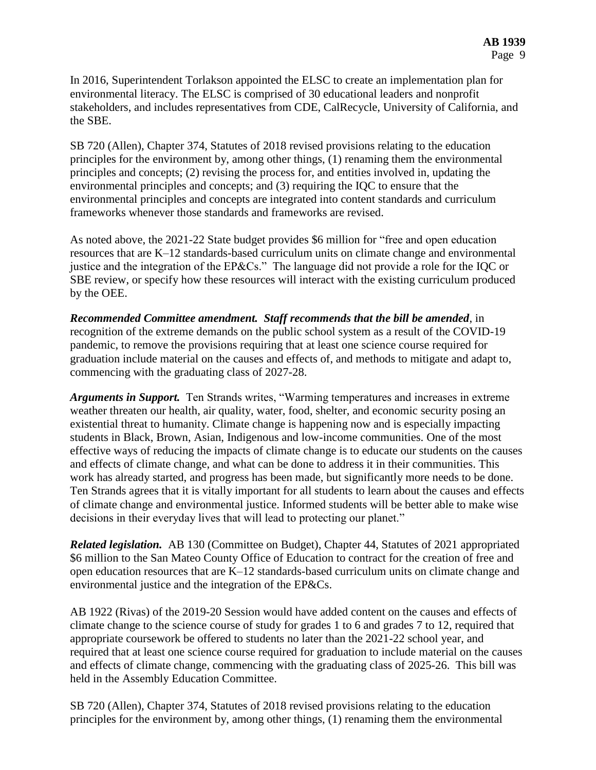In 2016, Superintendent Torlakson appointed the ELSC to create an implementation plan for environmental literacy. The ELSC is comprised of 30 educational leaders and nonprofit stakeholders, and includes representatives from CDE, CalRecycle, University of California, and the SBE.

SB 720 (Allen), Chapter 374, Statutes of 2018 revised provisions relating to the education principles for the environment by, among other things, (1) renaming them the environmental principles and concepts; (2) revising the process for, and entities involved in, updating the environmental principles and concepts; and (3) requiring the IQC to ensure that the environmental principles and concepts are integrated into content standards and curriculum frameworks whenever those standards and frameworks are revised.

As noted above, the 2021-22 State budget provides \$6 million for "free and open education resources that are K–12 standards-based curriculum units on climate change and environmental justice and the integration of the EP&Cs." The language did not provide a role for the IQC or SBE review, or specify how these resources will interact with the existing curriculum produced by the OEE.

*Recommended Committee amendment. Staff recommends that the bill be amended*, in recognition of the extreme demands on the public school system as a result of the COVID-19 pandemic, to remove the provisions requiring that at least one science course required for graduation include material on the causes and effects of, and methods to mitigate and adapt to, commencing with the graduating class of 2027-28.

*Arguments in Support.* Ten Strands writes, "Warming temperatures and increases in extreme weather threaten our health, air quality, water, food, shelter, and economic security posing an existential threat to humanity. Climate change is happening now and is especially impacting students in Black, Brown, Asian, Indigenous and low-income communities. One of the most effective ways of reducing the impacts of climate change is to educate our students on the causes and effects of climate change, and what can be done to address it in their communities. This work has already started, and progress has been made, but significantly more needs to be done. Ten Strands agrees that it is vitally important for all students to learn about the causes and effects of climate change and environmental justice. Informed students will be better able to make wise decisions in their everyday lives that will lead to protecting our planet."

*Related legislation.* AB 130 (Committee on Budget), Chapter 44, Statutes of 2021 appropriated \$6 million to the San Mateo County Office of Education to contract for the creation of free and open education resources that are K–12 standards-based curriculum units on climate change and environmental justice and the integration of the EP&Cs.

AB 1922 (Rivas) of the 2019-20 Session would have added content on the causes and effects of climate change to the science course of study for grades 1 to 6 and grades 7 to 12, required that appropriate coursework be offered to students no later than the 2021-22 school year, and required that at least one science course required for graduation to include material on the causes and effects of climate change, commencing with the graduating class of 2025-26. This bill was held in the Assembly Education Committee.

SB 720 (Allen), Chapter 374, Statutes of 2018 revised provisions relating to the education principles for the environment by, among other things, (1) renaming them the environmental